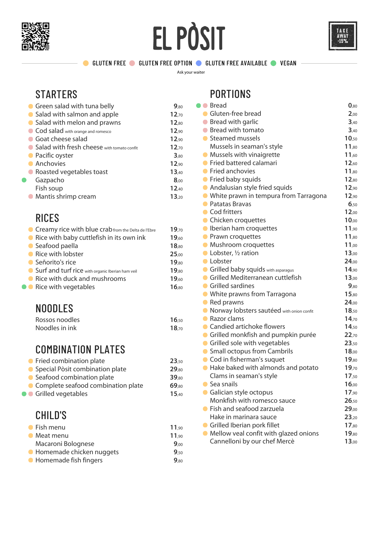

# EL PÒSIT



GLUTEN FREE GLUTEN FREE OPTION GLUTEN FREE AVAILABLE GUEGAN -

Ask your waiter

#### **STARTERS**

| Green salad with tuna belly                | 9,80  |
|--------------------------------------------|-------|
| Salad with salmon and apple                | 12,70 |
| Salad with melon and prawns                | 12.80 |
| Cod salad with orange and romesco          | 12.90 |
| Goat cheese salad                          | 12,90 |
| Salad with fresh cheese with tomato confit | 12,70 |
| Pacific oyster                             | 3,80  |
| Anchovies                                  | 12.90 |
| Roasted vegetables toast                   | 13.40 |
| Gazpacho                                   | 8,00  |
| Fish soup                                  | 12.40 |
| Mantis shrimp cream                        | 13,20 |

#### RICES

| Creamy rice with blue crab from the Delta de l'Ebre | 19.70 |
|-----------------------------------------------------|-------|
| Rice with baby cuttlefish in its own ink            | 19.60 |
| ● Seafood paella                                    | 18.80 |
| Rice with lobster                                   | 25.00 |
| Señorito's rice                                     | 19.80 |
| Surf and turf rice with organic Iberian ham veil    | 19.80 |
| Rice with duck and mushrooms<br>$\bullet$           | 19.60 |
| • Rice with vegetables                              | 16.80 |

#### NOODLES

| Rossos noodles | 16.50 |
|----------------|-------|
| Noodles in ink | 18.70 |

#### COMBINATION PLATES

| • Fried combination plate            | 23.50 |
|--------------------------------------|-------|
| • Special Pòsit combination plate    | 29.80 |
| Seafood combination plate            | 39.80 |
| • Complete seafood combination plate | 69.80 |
| <b>O</b> Grilled vegetables          | 15.40 |

### CHILD'S

| 11.90 |
|-------|
| 11.90 |
| 9.00  |
| 9.50  |
| 9.80  |
|       |

#### PORTIONS

| ● Bread                                     | 0,80  |
|---------------------------------------------|-------|
| • Gluten-free bread                         | 2,00  |
| <b>Bread with garlic</b>                    | 3,40  |
| ● Bread with tomato                         | 3,40  |
| • Steamed mussels                           | 10,50 |
| Mussels in seaman's style                   | 11,80 |
| • Mussels with vinaigrette                  | 11,60 |
| ● Fried battered calamari                   | 12,60 |
| ● Fried anchovies                           | 11,80 |
| • Fried baby squids                         | 12,80 |
| • Andalusian style fried squids             | 12,90 |
| • White prawn in tempura from Tarragona     | 12,90 |
| • Patatas Bravas                            | 6,50  |
| Cod fritters                                | 12,00 |
| • Chicken croquettes                        | 10,00 |
| • Iberian ham croquettes                    | 11,90 |
| • Prawn croquettes                          | 11,80 |
| • Mushroom croquettes                       | 11,00 |
| $\bullet$ Lobster, $\frac{1}{2}$ ration     | 13,00 |
| • Lobster                                   | 24,00 |
| Grilled baby squids with asparagus          | 14,90 |
| • Grilled Mediterranean cuttlefish          | 13,00 |
| • Grilled sardines                          | 9,80  |
| • White prawns from Tarragona               | 15,80 |
| Red prawns                                  | 24,00 |
| ● Norway lobsters sautéed with onion confit | 18,50 |
| • Razor clams                               | 14,70 |
| • Candied artichoke flowers                 | 14,50 |
| • Grilled monkfish and pumpkin purée        | 22,70 |
| • Grilled sole with vegetables              | 23,50 |
| • Small octopus from Cambrils               | 18,00 |
| Cod in fisherman's suquet                   | 19,80 |
| ● Hake baked with almonds and potato        | 19,70 |
| Clams in seaman's style                     | 17,50 |
| Sea snails                                  | 16,00 |
| Galician style octopus                      | 17,90 |
| Monkfish with romesco sauce                 | 26,50 |
| Fish and seafood zarzuela                   | 29,00 |
| Hake in marinara sauce                      | 23,20 |
| <b>Grilled Iberian pork fillet</b>          | 17,80 |
| • Mellow veal confit with glazed onions     | 19,80 |
| Cannelloni by our chef Mercè                | 13,00 |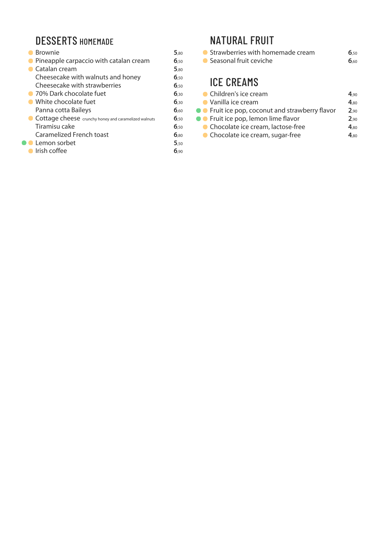#### DESSERTS HOMEMADE

| <b>Brownie</b>                                       | 5.80 |
|------------------------------------------------------|------|
| • Pineapple carpaccio with catalan cream             | 6.50 |
| $\bullet$ Catalan cream                              | 5.80 |
| Cheesecake with walnuts and honey                    | 6.50 |
| Cheesecake with strawberries                         | 6.50 |
| • 70% Dark chocolate fuet                            | 6.30 |
| White chocolate fuet                                 | 6.30 |
| Panna cotta Baileys                                  | 6.60 |
| Cottage cheese crunchy honey and caramelized walnuts | 6,50 |
| Tiramisu cake                                        | 6,50 |
| Caramelized French toast                             | 6.80 |
| Lemon sorbet                                         | 5.50 |
| Irish coffee                                         | 6.90 |
|                                                      |      |

#### NATURAL FRUIT

| Strawberries with homemade cream               | 6.50 |
|------------------------------------------------|------|
| Seasonal fruit ceviche                         | 6,60 |
| <b>ICE CREAMS</b>                              |      |
| • Children's ice cream                         | 4.90 |
| Vanilla ice cream                              | 4,80 |
| • Fruit ice pop, coconut and strawberry flavor | 2,90 |
| Fruit ice pop, lemon lime flavor               | 2.90 |

Chocolate ice cream, lactose-free **4**,80 Chocolate ice cream, sugar-free **4**,80